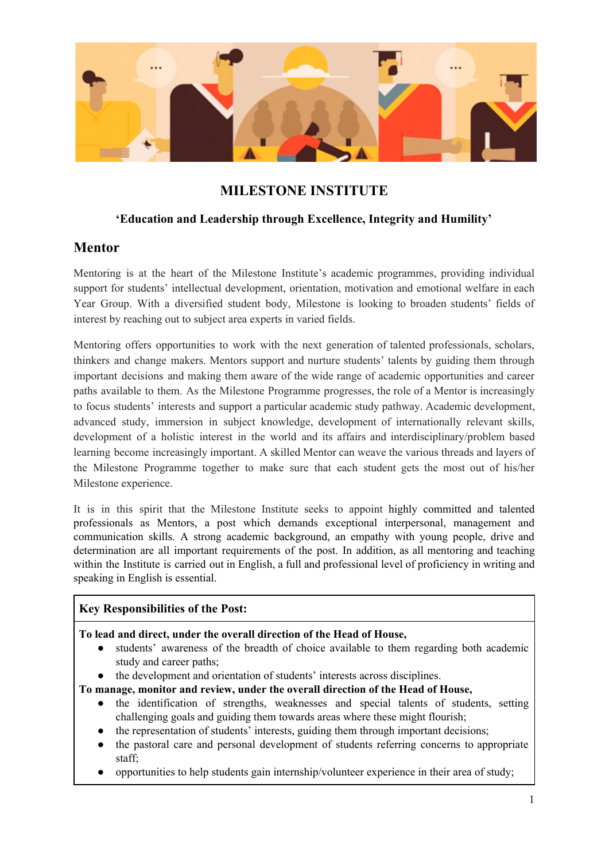

# **MILESTONE INSTITUTE**

### **'Education and Leadership through Excellence, Integrity and Humility'**

## **Mentor**

Mentoring is at the heart of the Milestone Institute's academic programmes, providing individual support for students' intellectual development, orientation, motivation and emotional welfare in each Year Group. With a diversified student body, Milestone is looking to broaden students' fields of interest by reaching out to subject area experts in varied fields.

Mentoring offers opportunities to work with the next generation of talented professionals, scholars, thinkers and change makers. Mentors support and nurture students' talents by guiding them through important decisions and making them aware of the wide range of academic opportunities and career paths available to them. As the Milestone Programme progresses, the role of a Mentor is increasingly to focus students' interests and support a particular academic study pathway. Academic development, advanced study, immersion in subject knowledge, development of internationally relevant skills, development of a holistic interest in the world and its affairs and interdisciplinary/problem based learning become increasingly important. A skilled Mentor can weave the various threads and layers of the Milestone Programme together to make sure that each student gets the most out of his/her Milestone experience.

It is in this spirit that the Milestone Institute seeks to appoint highly committed and talented professionals as Mentors, a post which demands exceptional interpersonal, management and communication skills. A strong academic background, an empathy with young people, drive and determination are all important requirements of the post. In addition, as all mentoring and teaching within the Institute is carried out in English, a full and professional level of proficiency in writing and speaking in English is essential.

### **Key Responsibilities of the Post:**

#### **To lead and direct, under the overall direction of the Head of House,**

- students' awareness of the breadth of choice available to them regarding both academic study and career paths;
- the development and orientation of students' interests across disciplines.

**To manage, monitor and review, under the overall direction of the Head of House,**

- the identification of strengths, weaknesses and special talents of students, setting challenging goals and guiding them towards areas where these might flourish;
- the representation of students' interests, guiding them through important decisions;
- the pastoral care and personal development of students referring concerns to appropriate staff;
- opportunities to help students gain internship/volunteer experience in their area of study;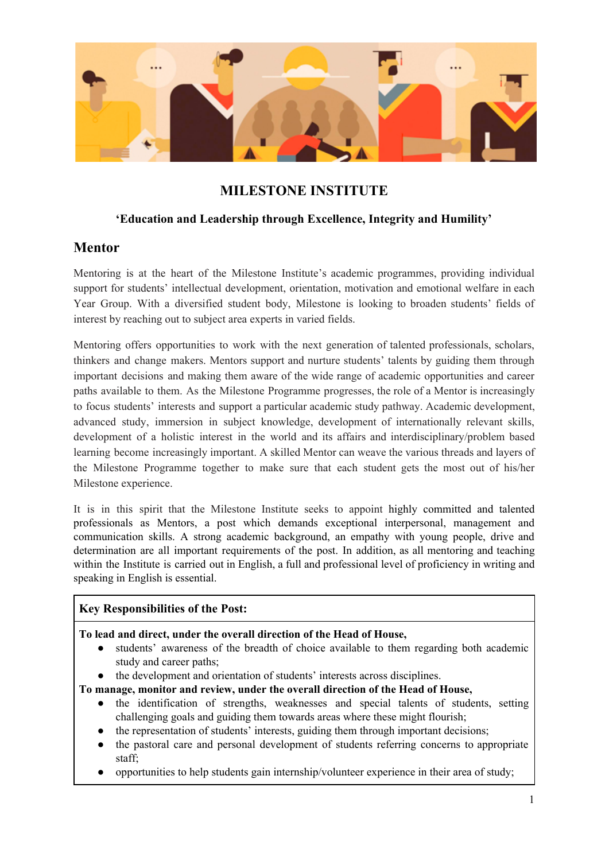- involvement of students in extracurricular activities in and outside Milestone, encouraging an active role in Student Life;
- an understanding of advanced academic material in students' area of interest, developing general academic skills.

#### **To promote and maintain:**

a lively interest in new initiatives in education at local, National and International levels including the development and use of new technologies, strategies and activities to enhance teaching and learning.

#### **Application Process:**

Application is by Letter and Curriculum Vitae via the application link [HERE](https://milestone-institute.org/milestone-institute-faculty-application-form/).

Shortlisted candidates will be required on the interview day to prepare certain tasks depending on which post they apply to. Applicants that apply for both posts will be expected to prepare for the Module Leader task.

Instructions for the Letter of Application and Additional Tasks are indicated on the guidelines available [HERE.](https://milestone-institute.org/wp-content/uploads/2016/09/Letters-of-Application-and-Additional-Tasks-Mentor-and-Module-Leader.docx)

Shortlisted and unsuccessful candidates will be notified.

#### **Disclaimer:**

The Milestone Institute constantly looks for highly committed and talented professionals. Although its prime recruitment period is usually before the start of a new Academic Year, the Institute welcomes applications all year long. Please keep in mind that applications will be weighed by a combination of the applicant's profile and the Institute's recruitment needs.

#### **Conditions of Service:**

- This is a flexible post, requiring a commitment of **12 x 60 minutes contact time per student for an academic year**. This should be seen as a) non-negotiable face-to-face contact time to meet the student b) a framework which should be used to enable frequency and be adjusted to meet the goals of a given year group, the needs of the student and it also includes preparation, training, reporting or meeting with parents.
- Fixed term contract, duration of **one academic year**.
- Mentoring sessions are expected to take place at the Institute's Headquarters: [1062,](https://goo.gl/maps/tZxVXqFroqA2) [Budapest,](https://goo.gl/maps/tZxVXqFroqA2) Bajza utca 44.
- The post holder should have the right to work in Hungary and might be subject to a local police check.

#### **Remuneration**

The Milestone Institute has a complex remuneration system which reflects each Mentor's professional development path.

There are four bands according to levels of experience and autonomy of mentoring practice:

#### **Novice: 110 000 HUF per mentee, paid in three instalments over the Academic Year**